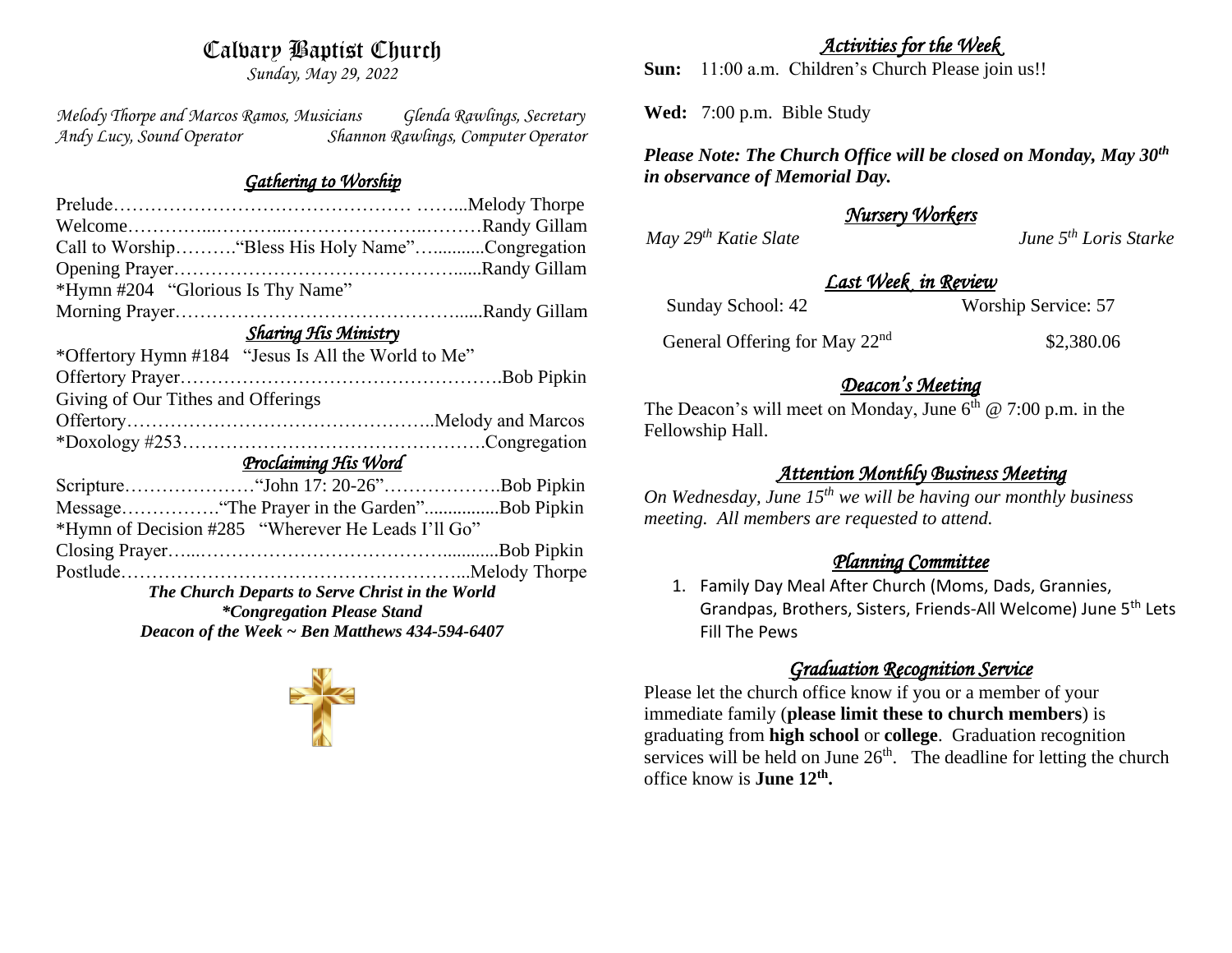# Calvary Baptist Church

*Sunday, May 29, 2022*

*Melody Thorpe and Marcos Ramos, Musicians Glenda Rawlings, Secretary Andy Lucy, Sound Operator Shannon Rawlings, Computer Operator* 

#### *Gathering to Worship*

| Call to Worship "Bless His Holy Name"Congregation   |  |  |  |  |  |  |
|-----------------------------------------------------|--|--|--|--|--|--|
|                                                     |  |  |  |  |  |  |
|                                                     |  |  |  |  |  |  |
|                                                     |  |  |  |  |  |  |
| <b>Sharing His Ministry</b>                         |  |  |  |  |  |  |
|                                                     |  |  |  |  |  |  |
|                                                     |  |  |  |  |  |  |
| Giving of Our Tithes and Offerings                  |  |  |  |  |  |  |
|                                                     |  |  |  |  |  |  |
|                                                     |  |  |  |  |  |  |
| Proclaiming His Word                                |  |  |  |  |  |  |
|                                                     |  |  |  |  |  |  |
|                                                     |  |  |  |  |  |  |
|                                                     |  |  |  |  |  |  |
|                                                     |  |  |  |  |  |  |
|                                                     |  |  |  |  |  |  |
| The Church Departs to Serve Christ in the World     |  |  |  |  |  |  |
| <i>*Congregation Please Stand</i>                   |  |  |  |  |  |  |
| Deacon of the Week $\sim$ Ben Matthews 434-594-6407 |  |  |  |  |  |  |
|                                                     |  |  |  |  |  |  |

#### *Activities for the Week*

**Sun:** 11:00 a.m. Children's Church Please join us!!

**Wed:** 7:00 p.m. Bible Study

*Please Note: The Church Office will be closed on Monday, May 30th in observance of Memorial Day.*

#### *Nursery Workers*

*May 29th Katie Slate June 5th Loris Starke* 

#### *Last Week in Review*

Sunday School: 42 Worship Service: 57

General Offering for May 22<sup>nd</sup>

\$2,380.06

#### *Deacon's Meeting*

The Deacon's will meet on Monday, June  $6<sup>th</sup>$  @ 7:00 p.m. in the Fellowship Hall.

## *Attention Monthly Business Meeting*

*On Wednesday, June 15th we will be having our monthly business meeting. All members are requested to attend.* 

## *Planning Committee*

1. Family Day Meal After Church (Moms, Dads, Grannies, Grandpas, Brothers, Sisters, Friends-All Welcome) June 5th Lets Fill The Pews

# *Graduation Recognition Service*

Please let the church office know if you or a member of your immediate family (**please limit these to church members**) is graduating from **high school** or **college**. Graduation recognition services will be held on June  $26<sup>th</sup>$ . The deadline for letting the church office know is **June 12th .**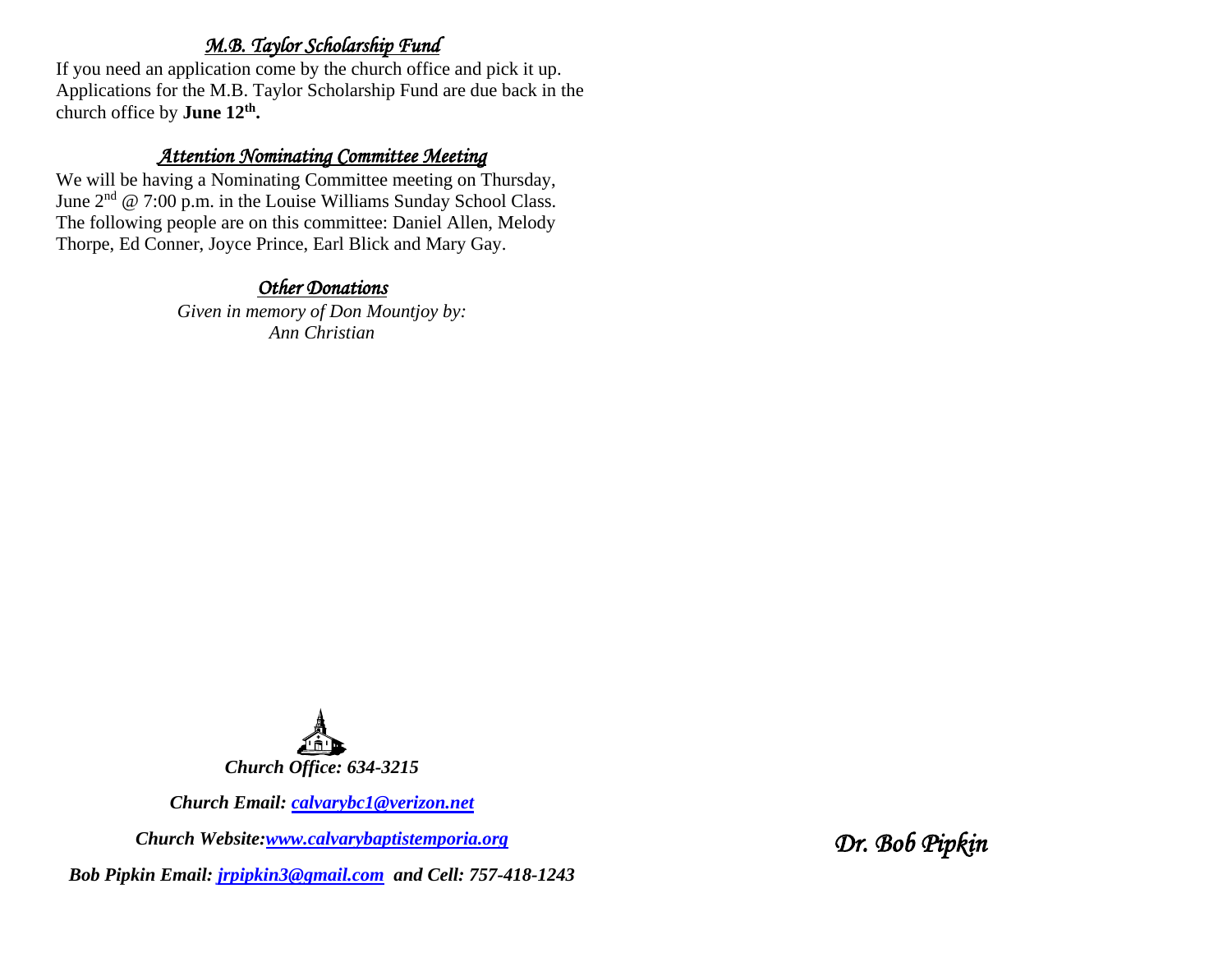#### *M.B. Taylor Scholarship Fund*

If you need an application come by the church office and pick it up. Applications for the M.B. Taylor Scholarship Fund are due back in the church office by **June 12th .**

#### *Attention Nominating Committee Meeting*

We will be having a Nominating Committee meeting on Thursday, June  $2^{nd}$  @ 7:00 p.m. in the Louise Williams Sunday School Class. The following people are on this committee: Daniel Allen, Melody Thorpe, Ed Conner, Joyce Prince, Earl Blick and Mary Gay.

#### *Other Donations*

*Given in memory of Don Mountjoy by: Ann Christian*



*Church Email: [calvarybc1@verizon.net](mailto:cbcemporiaoffice@gmail.com)*

*Church Website[:www.calvarybaptistemporia.org](http://www.calvarybaptistemporia.org/)*

*Bob Pipkin Email: [jrpipkin3@gmail.com](mailto:jrpipkin3@gmail.com) and Cell: 757-418-1243*

*Dr. Bob Pipkin*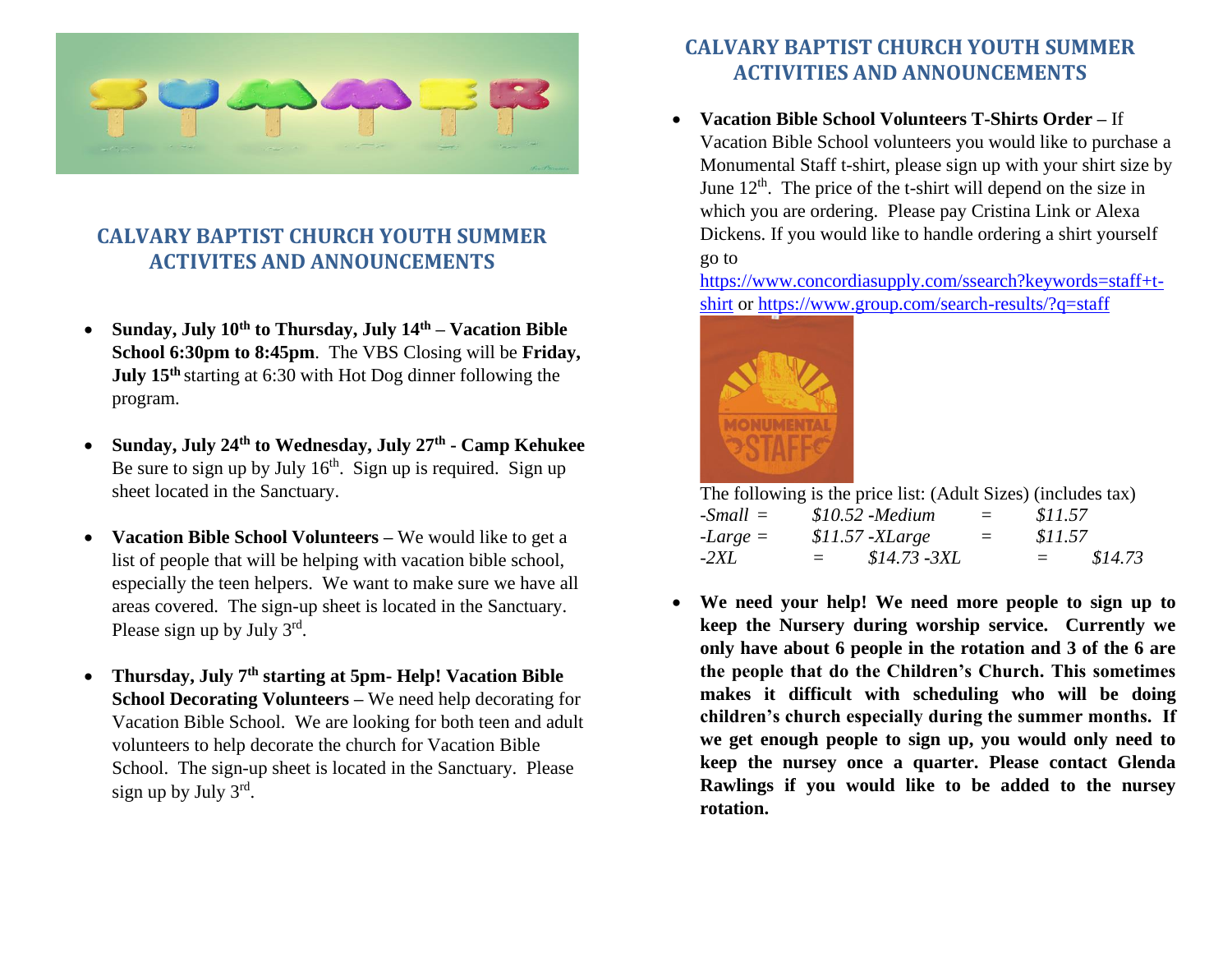

# **CALVARY BAPTIST CHURCH YOUTH SUMMER ACTIVITES AND ANNOUNCEMENTS**

- **Sunday, July 10th to Thursday, July 14th – Vacation Bible School 6:30pm to 8:45pm**. The VBS Closing will be **Friday, July 15th** starting at 6:30 with Hot Dog dinner following the program.
- **Sunday, July 24th to Wednesday, July 27th - Camp Kehukee** Be sure to sign up by July  $16<sup>th</sup>$ . Sign up is required. Sign up sheet located in the Sanctuary.
- **Vacation Bible School Volunteers –** We would like to get a list of people that will be helping with vacation bible school, especially the teen helpers. We want to make sure we have all areas covered. The sign-up sheet is located in the Sanctuary. Please sign up by July  $3^{rd}$ .
- **Thursday, July 7th starting at 5pm- Help! Vacation Bible School Decorating Volunteers –** We need help decorating for Vacation Bible School. We are looking for both teen and adult volunteers to help decorate the church for Vacation Bible School. The sign-up sheet is located in the Sanctuary. Please sign up by July 3rd.

# **CALVARY BAPTIST CHURCH YOUTH SUMMER ACTIVITIES AND ANNOUNCEMENTS**

• **Vacation Bible School Volunteers T-Shirts Order –** If Vacation Bible School volunteers you would like to purchase a Monumental Staff t-shirt, please sign up with your shirt size by June  $12<sup>th</sup>$ . The price of the t-shirt will depend on the size in which you are ordering. Please pay Cristina Link or Alexa Dickens. If you would like to handle ordering a shirt yourself go to

[https://www.concordiasupply.com/ssearch?keywords=staff+t](https://www.concordiasupply.com/ssearch?keywords=staff+t-shirt)[shirt](https://www.concordiasupply.com/ssearch?keywords=staff+t-shirt) or<https://www.group.com/search-results/?q=staff>



The following is the price list: (Adult Sizes) (includes tax)

| $-Small =$ |                                                                                                                                                                                                                               | $$10.52$ -Medium  | $=$ | \$11.57                   |         |
|------------|-------------------------------------------------------------------------------------------------------------------------------------------------------------------------------------------------------------------------------|-------------------|-----|---------------------------|---------|
| $-Large =$ |                                                                                                                                                                                                                               | $$11.57 - XLarge$ | $=$ | \$11.57                   |         |
| $-2XL$     | and the state of the state of the state of the state of the state of the state of the state of the state of the state of the state of the state of the state of the state of the state of the state of the state of the state | \$14.73 -3XL      |     | $\mathbf{r} = \mathbf{r}$ | \$14.73 |

• **We need your help! We need more people to sign up to keep the Nursery during worship service. Currently we only have about 6 people in the rotation and 3 of the 6 are the people that do the Children's Church. This sometimes makes it difficult with scheduling who will be doing children's church especially during the summer months. If we get enough people to sign up, you would only need to keep the nursey once a quarter. Please contact Glenda Rawlings if you would like to be added to the nursey rotation.**